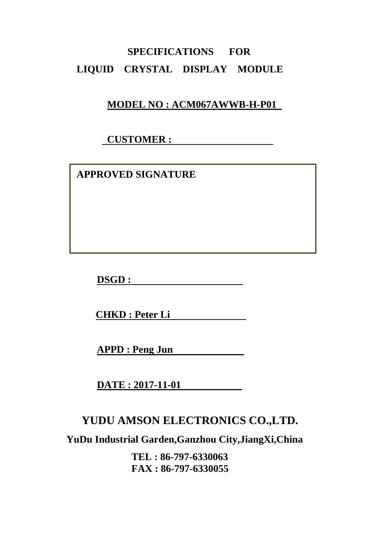# **SPECIFICATIONS FOR LIQUID CRYSTAL DISPLAY MODULE**

## **MODEL NO : ACM067AWWB-H-P01**

## **CUSTOMER :**

 **APPROVED SIGNATURE** 

**DSGD :** 

**CHKD : Peter Li** 

**APPD : Peng Jun** 

**DATE : 2017-11-01** 

# **YUDU AMSON ELECTRONICS CO.,LTD.**

**YuDu Industrial Garden,Ganzhou City,JiangXi,China** 

**TEL : 86-797-6330063 FAX : 86-797-6330055**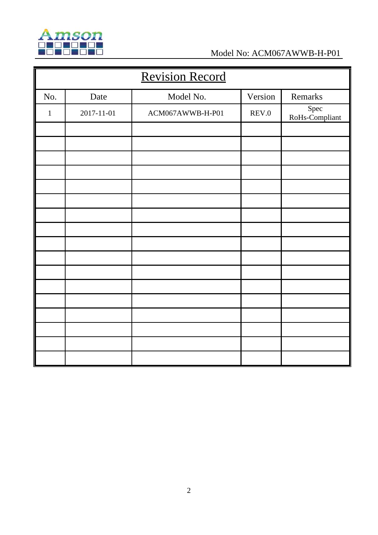

| <b>Revision Record</b> |            |                  |         |                        |  |
|------------------------|------------|------------------|---------|------------------------|--|
| No.                    | Date       | Model No.        | Version | Remarks                |  |
| $\mathbf{1}$           | 2017-11-01 | ACM067AWWB-H-P01 | REV.0   | Spec<br>RoHs-Compliant |  |
|                        |            |                  |         |                        |  |
|                        |            |                  |         |                        |  |
|                        |            |                  |         |                        |  |
|                        |            |                  |         |                        |  |
|                        |            |                  |         |                        |  |
|                        |            |                  |         |                        |  |
|                        |            |                  |         |                        |  |
|                        |            |                  |         |                        |  |
|                        |            |                  |         |                        |  |
|                        |            |                  |         |                        |  |
|                        |            |                  |         |                        |  |
|                        |            |                  |         |                        |  |
|                        |            |                  |         |                        |  |
|                        |            |                  |         |                        |  |
|                        |            |                  |         |                        |  |
|                        |            |                  |         |                        |  |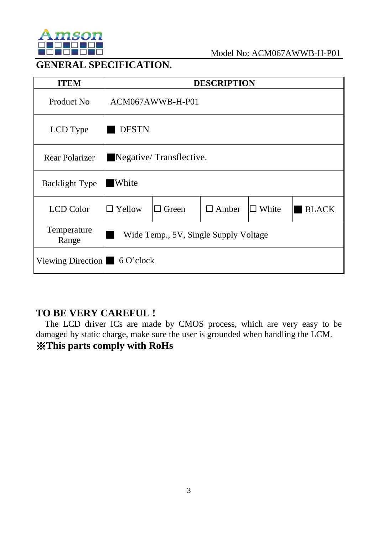

## **GENERAL SPECIFICATION.**

| <b>ITEM</b>                                |                                       |              | <b>DESCRIPTION</b> |              |              |  |
|--------------------------------------------|---------------------------------------|--------------|--------------------|--------------|--------------|--|
| Product No                                 | ACM067AWWB-H-P01                      |              |                    |              |              |  |
| LCD Type                                   | <b>DFSTN</b>                          |              |                    |              |              |  |
| <b>Rear Polarizer</b>                      | Negative/Transflective.               |              |                    |              |              |  |
| <b>Backlight Type</b>                      | <b>White</b>                          |              |                    |              |              |  |
| <b>LCD</b> Color                           | $\Box$ Yellow                         | $\Box$ Green | $\Box$ Amber       | $\Box$ White | <b>BLACK</b> |  |
| Temperature<br>Range                       | Wide Temp., 5V, Single Supply Voltage |              |                    |              |              |  |
| Viewing Direction $\blacksquare$ 6 O'clock |                                       |              |                    |              |              |  |

## **TO BE VERY CAREFUL !**

The LCD driver ICs are made by CMOS process, which are very easy to be damaged by static charge, make sure the user is grounded when handling the LCM. ※**This parts comply with RoHs**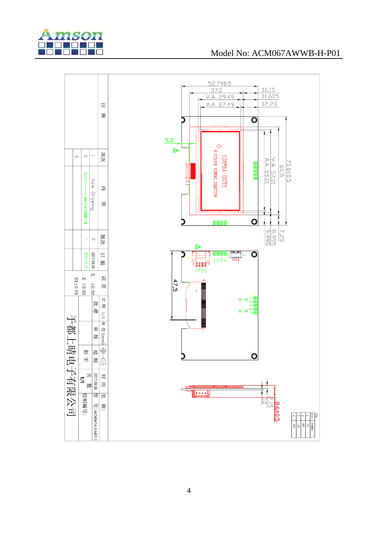

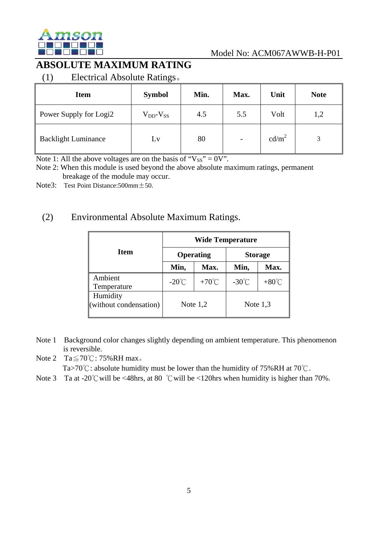

# **ABSOLUTE MAXIMUM RATING**

(1) Electrical Absolute Ratings。

| <b>Item</b>                | $\check{~}$<br><b>Symbol</b> | Min. | Max. | Unit              | <b>Note</b> |
|----------------------------|------------------------------|------|------|-------------------|-------------|
| Power Supply for Logi2     | $V_{DD}$ - $V_{SS}$          | 4.5  | 5.5  | Volt              | 1,2         |
| <b>Backlight Luminance</b> | Lv                           | 80   |      | cd/m <sup>2</sup> |             |

Note 1: All the above voltages are on the basis of " $V_{SS}$ " = 0V".

Note 2: When this module is used beyond the above absolute maximum ratings, permanent breakage of the module may occur.

Note3: Test Point Distance:  $500 \text{mm} \pm 50$ .

## (2) Environmental Absolute Maximum Ratings.

|                                    | <b>Wide Temperature</b> |                  |                 |                 |  |  |
|------------------------------------|-------------------------|------------------|-----------------|-----------------|--|--|
| <b>Item</b>                        |                         | <b>Operating</b> | <b>Storage</b>  |                 |  |  |
|                                    | Min,                    | Max.             | Min,            | Max.            |  |  |
| Ambient<br>Temperature             | $-20^{\circ}$ C         | $+70^{\circ}$ C  | $-30^{\circ}$ C | $+80^{\circ}$ C |  |  |
| Humidity<br>(without condensation) | Note $1,2$              |                  | Note $1,3$      |                 |  |  |

- Note 1 Background color changes slightly depending on ambient temperature. This phenomenon is reversible.
- Note 2 Ta $\leq$  70°C: 75%RH max.

Ta>70℃: absolute humidity must be lower than the humidity of 75%RH at 70℃.

Note 3 Ta at -20℃ will be <48hrs, at 80 ℃ will be <120hrs when humidity is higher than 70%.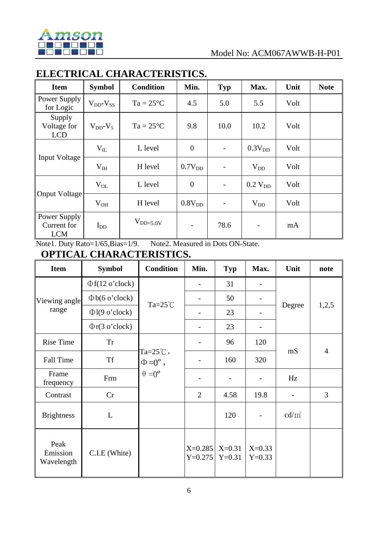

# **ELECTRICAL CHARACTERISTICS.**

| <b>Item</b>                                             | <b>Symbol</b>       | <b>Condition</b>   | Min.               | <b>Typ</b>               | Max.                     | Unit | <b>Note</b> |
|---------------------------------------------------------|---------------------|--------------------|--------------------|--------------------------|--------------------------|------|-------------|
| Power Supply<br>for Logic                               | $V_{DD}$ - $V_{SS}$ | $Ta = 25^{\circ}C$ | 4.5                | 5.0                      | 5.5                      | Volt |             |
| Supply<br>Voltage for<br>$V_{DD}$ - $V_5$<br><b>LCD</b> |                     | $Ta = 25^{\circ}C$ | 9.8                | 10.0                     | 10.2                     | Volt |             |
|                                                         | $V_{IL}$            | L level            | $\overline{0}$     |                          | 0.3V <sub>DD</sub>       | Volt |             |
| <b>Input Voltage</b>                                    | V <sub>IH</sub>     | H level            | 0.7V <sub>DD</sub> |                          | $V_{DD}$                 | Volt |             |
|                                                         | $V_{OL}$            | L level            | $\boldsymbol{0}$   | $\overline{\phantom{a}}$ | $0.2$ V <sub>DD</sub>    | Volt |             |
| <b>Onput Voltage</b>                                    | $V_{OH}$            | H level            | 0.8V <sub>DD</sub> |                          | $V_{DD}$                 | Volt |             |
| Power Supply<br>Current for<br><b>LCM</b>               | $I_{DD}$            | $V_{DD=5.0V}$      | -                  | 78.6                     | $\overline{\phantom{a}}$ | mA   |             |

Note1. Duty Rato=1/65,Bias=1/9. Note2. Measured in Dots ON-State.

**OPTICAL CHARACTERISTICS.**

| <b>Item</b>                    | <b>Symbol</b>         | <b>Condition</b>     | Min.                   | <b>Typ</b>           | Max.                 | Unit                     | note           |
|--------------------------------|-----------------------|----------------------|------------------------|----------------------|----------------------|--------------------------|----------------|
|                                | $\Phi f(12 o' clock)$ |                      |                        | 31                   |                      |                          |                |
| Viewing angle                  | $\Phi$ b(6 o'clock)   | Ta= $25^{\circ}$ C   |                        | 50                   |                      |                          |                |
| range                          | $\Phi$ l(9 o'clock)   |                      |                        | 23                   | -                    | Degree                   | 1,2,5          |
|                                | $\Phi$ r(3 o'clock)   |                      |                        | 23                   |                      |                          |                |
| <b>Rise Time</b>               | <b>Tr</b>             | $Ta=25^{\circ}$ C,   |                        | 96                   | 120                  |                          |                |
| <b>Fall Time</b>               | <b>Tf</b>             |                      |                        | 160                  | 320                  | mS                       | $\overline{4}$ |
| Frame<br>frequency             | Frm                   | $\theta = 0^{\circ}$ |                        |                      |                      | Hz                       |                |
| Contrast                       | Cr                    |                      | $\overline{2}$         | 4.58                 | 19.8                 | $\overline{\phantom{a}}$ | 3              |
| <b>Brightness</b>              | L                     |                      |                        | 120                  |                      | $cd/m^2$                 |                |
| Peak<br>Emission<br>Wavelength | C.I.E (White)         |                      | $X=0.285$<br>$Y=0.275$ | $X=0.31$<br>$Y=0.31$ | $X=0.33$<br>$Y=0.33$ |                          |                |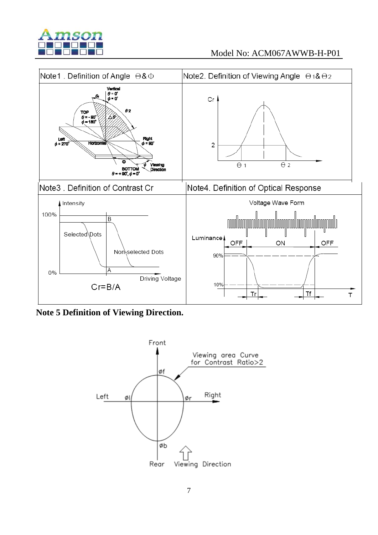



**Note 5 Definition of Viewing Direction.** 

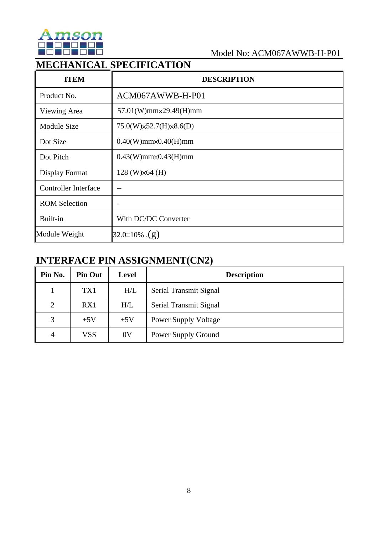

# **MECHANICAL SPECIFICATION**

| <b>ITEM</b>                 | <b>DESCRIPTION</b>              |
|-----------------------------|---------------------------------|
| Product No.                 | ACM067AWWB-H-P01                |
| Viewing Area                | 57.01(W)mmx29.49(H)mm           |
| Module Size                 | 75.0(W)x52.7(H)x8.6(D)          |
| Dot Size                    | $0.40(W)$ mm $\times$ 0.40(H)mm |
| Dot Pitch                   | $0.43(W)$ mm $\times$ 0.43(H)mm |
| Display Format              | $128$ (W) $\times$ 64 (H)       |
| <b>Controller Interface</b> | --                              |
| <b>ROM Selection</b>        |                                 |
| Built-in                    | With DC/DC Converter            |
| Module Weight               | 32.0±10% $,(g)$                 |

## **INTERFACE PIN ASSIGNMENT(CN2)**

| Pin No.        | <b>Pin Out</b> | Level          | <b>Description</b>          |
|----------------|----------------|----------------|-----------------------------|
|                | TX1            | H/L            | Serial Transmit Signal      |
| $\overline{2}$ | RX1            | H/L            | Serial Transmit Signal      |
| 3              | $+5V$          | $+5V$          | <b>Power Supply Voltage</b> |
| 4              | VSS            | 0 <sub>V</sub> | Power Supply Ground         |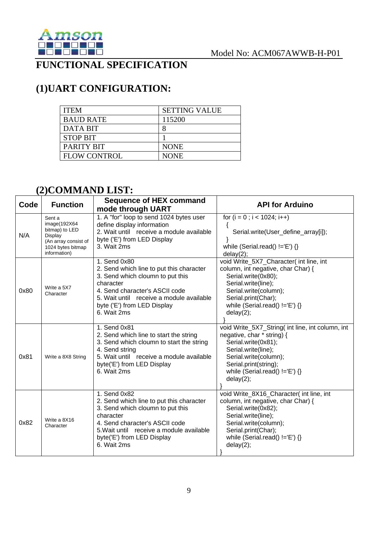

# **FUNCTIONAL SPECIFICATION**

# **(1)UART CONFIGURATION:**

| <b>ITEM</b>         | <b>SETTING VALUE</b> |
|---------------------|----------------------|
| <b>BAUD RATE</b>    | 115200               |
| <b>DATA BIT</b>     |                      |
| <b>STOP BIT</b>     |                      |
| PARITY BIT          | <b>NONE</b>          |
| <b>FLOW CONTROL</b> | <b>NONE</b>          |

## **(2)COMMAND LIST:**

| Code | <b>Function</b>                                                                                                   | <b>Sequence of HEX command</b><br>mode through UART                                                                                                                                                                                   | <b>API for Arduino</b>                                                                                                                                                                                                          |
|------|-------------------------------------------------------------------------------------------------------------------|---------------------------------------------------------------------------------------------------------------------------------------------------------------------------------------------------------------------------------------|---------------------------------------------------------------------------------------------------------------------------------------------------------------------------------------------------------------------------------|
| N/A  | Sent a<br>image(192X64)<br>bitmap) to LED<br>Display<br>(An array consist of<br>1024 bytes bitmap<br>information) | 1. A "for" loop to send 1024 bytes user<br>define display information<br>2. Wait until receive a module available<br>byte ('E') from LED Display<br>3. Wait 2ms                                                                       | for $(i = 0; i < 1024; i++)$<br>₹<br>Serial.write(User_define_array[i]);<br>while (Serial.read() $!=E'$ ) {}<br>delay(2);                                                                                                       |
| 0x80 | Write a 5X7<br>Character                                                                                          | 1. Send 0x80<br>2. Send which line to put this character<br>3. Send which cloumn to put this<br>character<br>4. Send character's ASCII code<br>5. Wait until receive a module available<br>byte ('E') from LED Display<br>6. Wait 2ms | void Write_5X7_Character( int line, int<br>column, int negative, char Char) {<br>Serial.write(0x80);<br>Serial.write(line);<br>Serial.write(column);<br>Serial.print(Char);<br>while (Serial.read() $!=E'$ ) {}<br>delay(2);    |
| 0x81 | Write a 8X8 String                                                                                                | 1. Send 0x81<br>2. Send which line to start the string<br>3. Send which cloumn to start the string<br>4. Send string<br>5. Wait until receive a module available<br>byte('E') from LED Display<br>6. Wait 2ms                         | void Write_5X7_String( int line, int column, int<br>negative, char * string) {<br>Serial.write(0x81);<br>Serial.write(line);<br>Serial.write(column);<br>Serial.print(string);<br>while (Serial.read() $!=E'$ ) {}<br>delay(2); |
| 0x82 | Write a 8X16<br>Character                                                                                         | 1. Send 0x82<br>2. Send which line to put this character<br>3. Send which cloumn to put this<br>character<br>4. Send character's ASCII code<br>5. Wait until receive a module available<br>byte('E') from LED Display<br>6. Wait 2ms  | void Write_8X16_Character( int line, int<br>column, int negative, char Char) {<br>Serial.write(0x82);<br>Serial.write(line);<br>Serial.write(column);<br>Serial.print(Char);<br>while (Serial.read() $!=E'$ ) {}<br>delay(2);   |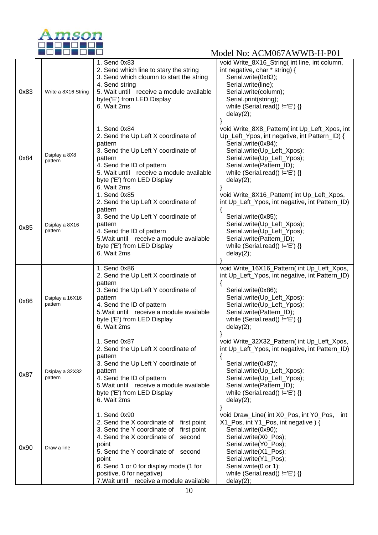

|      |                            | 1. Send 0x83                                                                                         | void Write_8X16_String( int line, int column,                                                  |
|------|----------------------------|------------------------------------------------------------------------------------------------------|------------------------------------------------------------------------------------------------|
|      |                            | 2. Send which line to stary the string<br>3. Send which cloumn to start the string<br>4. Send string | int negative, char * string) {<br>Serial.write(0x83);<br>Serial.write(line);                   |
| 0x83 | Write a 8X16 String        | 5. Wait until receive a module available<br>byte('E') from LED Display                               | Serial.write(column);<br>Serial.print(string);                                                 |
|      |                            | 6. Wait 2ms                                                                                          | while (Serial.read() $!=$ 'E') {}                                                              |
|      |                            |                                                                                                      | delay(2);                                                                                      |
|      |                            | 1. Send 0x84<br>2. Send the Up Left X coordinate of                                                  | void Write_8X8_Pattern( int Up_Left_Xpos, int<br>Up_Left_Ypos, int negative, int Pattern_ID) { |
|      |                            | pattern<br>3. Send the Up Left Y coordinate of                                                       | Serial.write(0x84);<br>Serial.write(Up_Left_Xpos);                                             |
| 0x84 | Dsiplay a 8X8<br>pattern   | pattern<br>4. Send the ID of pattern                                                                 | Serial.write(Up_Left_Ypos);<br>Serial.write(Pattern_ID);                                       |
|      |                            | 5. Wait until receive a module available<br>byte ('E') from LED Display                              | while (Serial.read() $!=$ 'E') {}<br>delay(2);                                                 |
|      |                            | 6. Wait 2ms<br>1. Send 0x85                                                                          | void Write_8X16_Pattern( int Up_Left_Xpos,                                                     |
|      |                            | 2. Send the Up Left X coordinate of                                                                  | int Up_Left_Ypos, int negative, int Pattern_ID)                                                |
|      |                            | pattern<br>3. Send the Up Left Y coordinate of                                                       | ₹<br>Serial.write(0x85);                                                                       |
| 0x85 | Dsiplay a 8X16<br>pattern  | pattern<br>4. Send the ID of pattern                                                                 | Serial.write(Up_Left_Xpos);<br>Serial.write(Up_Left_Ypos);                                     |
|      |                            | 5. Wait until receive a module available<br>byte ('E') from LED Display                              | Serial.write(Pattern_ID);<br>while (Serial.read() $!=E'$ ) {}                                  |
|      |                            | 6. Wait 2ms                                                                                          | delay(2);                                                                                      |
|      |                            | 1. Send 0x86<br>2. Send the Up Left X coordinate of                                                  | void Write_16X16_Pattern( int Up_Left_Xpos,<br>int Up_Left_Ypos, int negative, int Pattern_ID) |
|      |                            | pattern<br>3. Send the Up Left Y coordinate of                                                       | Serial.write(0x86);                                                                            |
| 0x86 | Dsiplay a 16X16<br>pattern | pattern<br>4. Send the ID of pattern                                                                 | Serial.write(Up_Left_Xpos);<br>Serial.write(Up_Left_Ypos);                                     |
|      |                            | 5. Wait until receive a module available<br>byte ('E') from LED Display                              | Serial.write(Pattern_ID);<br>while (Serial.read() $!=E'$ ) {}                                  |
|      |                            | 6. Wait 2ms                                                                                          | delay(2);                                                                                      |
|      |                            | 1. Send 0x87                                                                                         | void Write_32X32_Pattern(int Up_Left_Xpos,                                                     |
|      |                            | 2. Send the Up Left X coordinate of<br>pattern                                                       | int Up_Left_Ypos, int negative, int Pattern_ID)                                                |
| 0x87 | Dsiplay a 32X32            | 3. Send the Up Left Y coordinate of<br>pattern                                                       | Serial.write(0x87);<br>Serial.write(Up_Left_Xpos);                                             |
|      | pattern                    | 4. Send the ID of pattern<br>5. Wait until receive a module available                                | Serial.write(Up_Left_Ypos);<br>Serial.write(Pattern_ID);                                       |
|      |                            | byte ('E') from LED Display<br>6. Wait 2ms                                                           | while (Serial.read() $!=$ 'E') {}<br>delay(2);                                                 |
|      |                            | 1. Send 0x90                                                                                         | void Draw_Line( int X0_Pos, int Y0_Pos,<br>int                                                 |
|      |                            | 2. Send the X coordinate of first point<br>3. Send the Y coordinate of first point                   | X1_Pos, int Y1_Pos, int negative) {<br>Serial.write(0x90);                                     |
|      |                            | 4. Send the X coordinate of<br>second<br>point                                                       | Serial.write(X0_Pos);<br>Serial.write(Y0_Pos);                                                 |
| 0x90 | Draw a line                | 5. Send the Y coordinate of second<br>point                                                          | Serial.write(X1_Pos);<br>Serial.write(Y1_Pos);                                                 |
|      |                            | 6. Send 1 or 0 for display mode (1 for                                                               | Serial.write(0 or 1);                                                                          |
|      |                            | positive, 0 for negative)<br>7. Wait until receive a module available                                | while (Serial.read() $!=$ 'E') {}<br>delay(2);                                                 |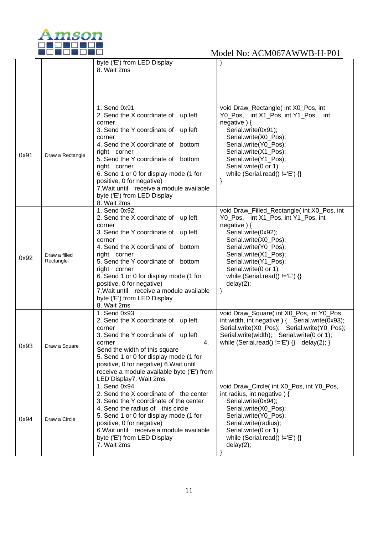

|      |                  | byte ('E') from LED Display                | }                                               |
|------|------------------|--------------------------------------------|-------------------------------------------------|
|      |                  | 8. Wait 2ms                                |                                                 |
|      |                  |                                            |                                                 |
|      |                  |                                            |                                                 |
|      |                  |                                            |                                                 |
|      |                  |                                            |                                                 |
|      |                  |                                            |                                                 |
|      |                  | 1. Send 0x91                               | void Draw_Rectangle( int X0_Pos, int            |
|      |                  | 2. Send the X coordinate of up left        | Y0_Pos, int X1_Pos, int Y1_Pos, int             |
|      |                  | corner                                     | negative $)$ {                                  |
|      |                  | 3. Send the Y coordinate of up left        | Serial.write(0x91);                             |
|      |                  | corner                                     | Serial.write(X0_Pos);                           |
|      |                  | 4. Send the X coordinate of bottom         | Serial.write(Y0_Pos);                           |
|      |                  | right corner                               | Serial.write(X1_Pos);                           |
| 0x91 | Draw a Rectangle | 5. Send the Y coordinate of bottom         | Serial.write(Y1_Pos);                           |
|      |                  | right corner                               | Serial.write(0 or 1);                           |
|      |                  | 6. Send 1 or 0 for display mode (1 for     | while (Serial.read() $!=$ 'E') {}               |
|      |                  | positive, 0 for negative)                  | }                                               |
|      |                  | 7. Wait until receive a module available   |                                                 |
|      |                  | byte ('E') from LED Display                |                                                 |
|      |                  | 8. Wait 2ms                                |                                                 |
|      |                  |                                            |                                                 |
|      |                  | 1. Send 0x92                               | void Draw_Filled_Rectangle( int X0_Pos, int     |
|      |                  | 2. Send the X coordinate of up left        | Y0_Pos, int X1_Pos, int Y1_Pos, int             |
|      |                  | corner                                     | negative $)$ {                                  |
|      |                  | 3. Send the Y coordinate of up left        | Serial.write(0x92);                             |
|      |                  | corner                                     | Serial.write(X0_Pos);                           |
|      |                  | 4. Send the X coordinate of bottom         | Serial.write(Y0_Pos);                           |
| 0x92 | Draw a filled    | right corner                               | Serial.write(X1_Pos);                           |
|      | Rectangle        | 5. Send the Y coordinate of bottom         | Serial.write(Y1_Pos);                           |
|      |                  | right corner                               | Serial.write(0 or 1);                           |
|      |                  | 6. Send 1 or 0 for display mode (1 for     | while (Serial.read() $!=$ 'E') {}               |
|      |                  | positive, 0 for negative)                  | delay(2);                                       |
|      |                  | 7. Wait until receive a module available   | }                                               |
|      |                  | byte ('E') from LED Display                |                                                 |
|      |                  | 8. Wait 2ms                                |                                                 |
|      |                  | 1. Send 0x93                               | void Draw_Square( int X0_Pos, int Y0_Pos,       |
|      |                  | 2. Send the X coordinate of up left        | int width, int negative ) { Serial.write(0x93); |
|      |                  |                                            |                                                 |
|      |                  | corner                                     | Serial.write(X0_Pos); Serial.write(Y0_Pos);     |
|      |                  | 3. Send the Y coordinate of up left        | Serial.write(width); Serial.write(0 or 1);      |
| 0x93 | Draw a Square    | corner<br>4.                               | while (Serial.read() $!=E'$ ) {} delay(2); }    |
|      |                  | Send the width of this square              |                                                 |
|      |                  | 5. Send 1 or 0 for display mode (1 for     |                                                 |
|      |                  | positive, 0 for negative) 6. Wait until    |                                                 |
|      |                  | receive a module available byte ('E') from |                                                 |
|      |                  | LED Display7. Wait 2ms                     |                                                 |
|      |                  | 1. Send 0x94                               | void Draw_Circle( int X0_Pos, int Y0_Pos,       |
|      |                  | 2. Send the X coordinate of the center     | int radius, int negative $)$ {                  |
|      |                  | 3. Send the Y coordinate of the center     | Serial.write(0x94);                             |
|      |                  | 4. Send the radius of this circle          | Serial.write(X0_Pos);                           |
|      |                  | 5. Send 1 or 0 for display mode (1 for     | Serial.write(Y0_Pos);                           |
| 0x94 | Draw a Circle    | positive, 0 for negative)                  | Serial.write(radius);                           |
|      |                  | 6. Wait until receive a module available   | Serial.write(0 or 1);                           |
|      |                  | byte ('E') from LED Display                | while (Serial.read() $!=$ 'E') {}               |
|      |                  | 7. Wait 2ms                                | delay(2);                                       |
|      |                  |                                            |                                                 |
|      |                  |                                            |                                                 |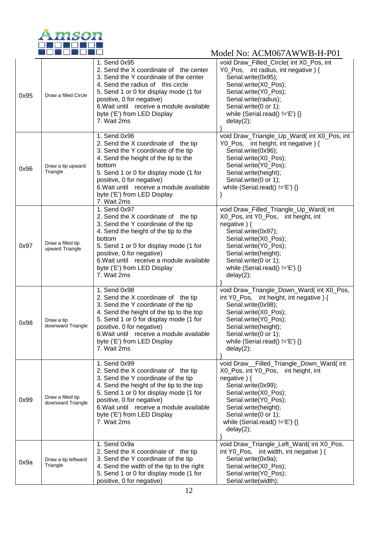

| 0x95 | Draw a filled Circle                   | 1. Send 0x95<br>2. Send the X coordinate of the center<br>3. Send the Y coordinate of the center<br>4. Send the radius of this circle<br>5. Send 1 or 0 for display mode (1 for<br>positive, 0 for negative)<br>6. Wait until receive a module available<br>byte ('E') from LED Display<br>7. Wait 2ms        | void Draw_Filled_Circle(int X0_Pos, int<br>Y0_Pos, int radius, int negative) {<br>Serial.write(0x95);<br>Serial.write(X0_Pos);<br>Serial.write(Y0_Pos);<br>Serial.write(radius);<br>Serial.write(0 or 1);<br>while (Serial.read() $!=E'$ ) {}<br>delay(2);                    |
|------|----------------------------------------|---------------------------------------------------------------------------------------------------------------------------------------------------------------------------------------------------------------------------------------------------------------------------------------------------------------|-------------------------------------------------------------------------------------------------------------------------------------------------------------------------------------------------------------------------------------------------------------------------------|
| 0x96 | Draw a tip upward<br>Triangle          | 1. Send 0x96<br>2. Send the X coordinate of the tip<br>3. Send the Y coordinate of the tip<br>4. Send the height of the tip to the<br>bottom<br>5. Send 1 or 0 for display mode (1 for<br>positive, 0 for negative)<br>6. Wait until receive a module available<br>byte ('E') from LED Display<br>7. Wait 2ms | void Draw_Triangle_Up_Ward( int X0_Pos, int<br>Y0_Pos, int height, int negative) {<br>Serial.write(0x96);<br>Serial.write(X0_Pos);<br>Serial.write(Y0_Pos);<br>Serial.write(height);<br>Serial.write(0 or 1);<br>while (Serial.read() $!=E'$ ) {}<br>}                        |
| 0x97 | Draw a filled tip<br>upward Triangle   | 1. Send 0x97<br>2. Send the X coordinate of the tip<br>3. Send the Y coordinate of the tip<br>4. Send the height of the tip to the<br>bottom<br>5. Send 1 or 0 for display mode (1 for<br>positive, 0 for negative)<br>6. Wait until receive a module available<br>byte ('E') from LED Display<br>7. Wait 2ms | void Draw_Filled_Triangle_Up_Ward( int<br>X0 Pos, int Y0 Pos, int height, int<br>negative $)$ {<br>Serial.write(0x97);<br>Serial.write(X0_Pos);<br>Serial.write(Y0_Pos);<br>Serial.write(height);<br>Serial.write(0 or 1);<br>while (Serial.read() $!=$ 'E') {}<br>delay(2);  |
| 0x98 | Draw a tip<br>downward Triangle        | 1. Send 0x98<br>2. Send the X coordinate of the tip<br>3. Send the Y coordinate of the tip<br>4. Send the height of the tip to the top<br>5. Send 1 or 0 for display mode (1 for<br>positive, 0 for negative)<br>6. Wait until receive a module available<br>byte ('E') from LED Display<br>7. Wait 2ms       | void Draw_Triangle_Down_Ward( int X0_Pos,<br>int Y0_Pos, int height, int negative) {<br>Serial.write(0x98);<br>Serial.write(X0_Pos);<br>Serial.write(Y0_Pos);<br>Serial.write(height);<br>Serial.write(0 or 1);<br>while (Serial.read() $!=$ 'E') {}<br>delay(2);             |
| 0x99 | Draw a filled tip<br>downward Triangle | 1. Send 0x99<br>2. Send the X coordinate of the tip<br>3. Send the Y coordinate of the tip<br>4. Send the height of the tip to the top<br>5. Send 1 or 0 for display mode (1 for<br>positive, 0 for negative)<br>6. Wait until receive a module available<br>byte ('E') from LED Display<br>7. Wait 2ms       | void Draw__Filled_Triangle_Down_Ward(int<br>X0 Pos, int Y0 Pos, int height, int<br>negative $)$ {<br>Serial.write(0x99);<br>Serial.write(X0_Pos);<br>Serial.write(Y0_Pos);<br>Serial.write(height);<br>Serial.write(0 or 1);<br>while (Serial.read() $!=E'$ ) {}<br>delay(2); |
| 0x9a | Draw a tip leftward<br>Triangle        | 1. Send 0x9a<br>2. Send the X coordinate of the tip<br>3. Send the Y coordinate of the tip<br>4. Send the width of the tip to the right<br>5. Send 1 or 0 for display mode (1 for<br>positive, 0 for negative)                                                                                                | void Draw_Triangle_Left_Ward( int X0_Pos,<br>int Y0_Pos, int width, int negative $\}$ {<br>Serial.write(0x9a);<br>Serial.write(X0_Pos);<br>Serial.write(Y0_Pos);<br>Serial.write(width);                                                                                      |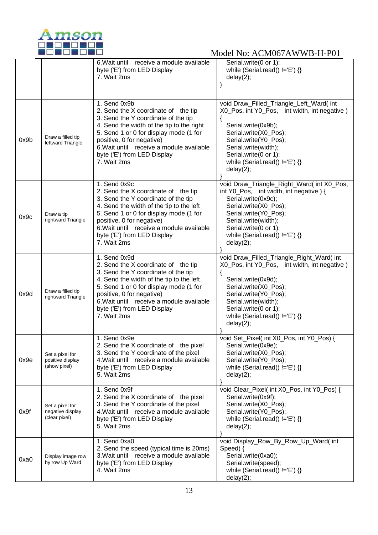

|      |                                                      | 6. Wait until receive a module available<br>byte ('E') from LED Display<br>7. Wait 2ms                                                                                                                                                                                                                   | Serial.write(0 or 1);<br>while (Serial.read() $!=E'$ ) {}<br>delay(2);                                                                                                                                                                                                    |
|------|------------------------------------------------------|----------------------------------------------------------------------------------------------------------------------------------------------------------------------------------------------------------------------------------------------------------------------------------------------------------|---------------------------------------------------------------------------------------------------------------------------------------------------------------------------------------------------------------------------------------------------------------------------|
| 0x9b | Draw a filled tip<br>leftward Triangle               | 1. Send 0x9b<br>2. Send the X coordinate of the tip<br>3. Send the Y coordinate of the tip<br>4. Send the width of the tip to the right<br>5. Send 1 or 0 for display mode (1 for<br>positive, 0 for negative)<br>6. Wait until receive a module available<br>byte ('E') from LED Display<br>7. Wait 2ms | void Draw_Filled_Triangle_Left_Ward( int<br>X0_Pos, int Y0_Pos, int width, int negative)<br>₹<br>Serial.write(0x9b);<br>Serial.write(X0_Pos);<br>Serial.write(Y0_Pos);<br>Serial.write(width);<br>Serial.write(0 or 1);<br>while (Serial.read() $!=$ 'E') {}<br>delay(2); |
| 0x9c | Draw a tip<br>rightward Triangle                     | 1. Send 0x9c<br>2. Send the X coordinate of the tip<br>3. Send the Y coordinate of the tip<br>4. Send the width of the tip to the left<br>5. Send 1 or 0 for display mode (1 for<br>positive, 0 for negative)<br>6. Wait until receive a module available<br>byte ('E') from LED Display<br>7. Wait 2ms  | void Draw_Triangle_Right_Ward( int X0_Pos,<br>int Y0_Pos, int width, int negative) {<br>Serial.write(0x9c);<br>Serial.write(X0_Pos);<br>Serial.write(Y0_Pos);<br>Serial.write(width);<br>Serial.write(0 or 1);<br>while (Serial.read() $!=$ 'E') {}<br>delay(2);          |
| 0x9d | Draw a filled tip<br>rightward Triangle              | 1. Send 0x9d<br>2. Send the X coordinate of the tip<br>3. Send the Y coordinate of the tip<br>4. Send the width of the tip to the left<br>5. Send 1 or 0 for display mode (1 for<br>positive, 0 for negative)<br>6. Wait until receive a module available<br>byte ('E') from LED Display<br>7. Wait 2ms  | void Draw_Filled_Triangle_Right_Ward( int<br>X0_Pos, int Y0_Pos, int width, int negative)<br>Serial.write(0x9d);<br>Serial.write(X0_Pos);<br>Serial.write(Y0_Pos);<br>Serial.write(width);<br>Serial.write(0 or 1);<br>while (Serial.read() $!=$ 'E') {}<br>delay(2);     |
| 0x9e | Set a pixel for<br>positive display<br>(show pixel)  | 1. Send 0x9e<br>2. Send the X coordinate of the pixel<br>3. Send the Y coordinate of the pixel<br>4. Wait until receive a module available<br>byte ('E') from LED Display<br>5. Wait 2ms                                                                                                                 | void Set_Pixel( int X0_Pos, int Y0_Pos) {<br>Serial.write(0x9e);<br>Serial.write(X0_Pos);<br>Serial.write(Y0_Pos);<br>while (Serial.read() $!=$ 'E') {}<br>delay(2);                                                                                                      |
| 0x9f | Set a pixel for<br>negative display<br>(clear pixel) | 1. Send 0x9f<br>2. Send the X coordinate of the pixel<br>3. Send the Y coordinate of the pixel<br>4. Wait until receive a module available<br>byte ('E') from LED Display<br>5. Wait 2ms                                                                                                                 | void Clear_Pixel( int X0_Pos, int Y0_Pos) {<br>Serial.write(0x9f);<br>Serial.write(X0_Pos);<br>Serial.write(Y0_Pos);<br>while (Serial.read() $!=E'$ ) {}<br>delay(2);                                                                                                     |
| 0xa0 | Display image row<br>by row Up Ward                  | 1. Send 0xa0<br>2. Send the speed (typical time is 20ms)<br>3. Wait until receive a module available<br>byte ('E') from LED Display<br>4. Wait 2ms                                                                                                                                                       | void Display_Row_By_Row_Up_Ward( int<br>Speed) {<br>Serial.write(0xa0);<br>Serial.write(speed);<br>while (Serial.read() $!=$ 'E') {}<br>delay(2);                                                                                                                         |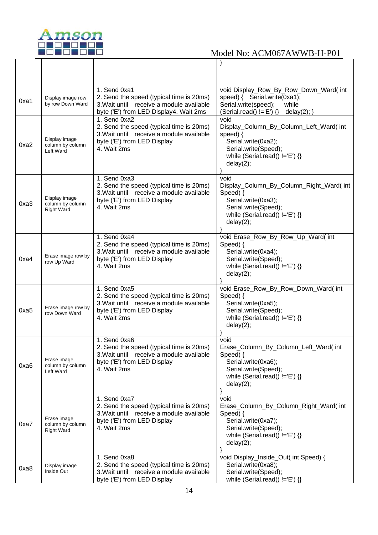

| 0xa1 | Display image row<br>by row Down Ward                  | 1. Send 0xa1<br>2. Send the speed (typical time is 20ms)<br>3. Wait until receive a module available<br>byte ('E') from LED Display4. Wait 2ms       | void Display_Row_By_Row_Down_Ward( int<br>speed) { Serial.write(0xa1);<br>Serial.write(speed);<br>while<br>$(Serial.read() != 'E') \$ delay(2); }              |
|------|--------------------------------------------------------|------------------------------------------------------------------------------------------------------------------------------------------------------|----------------------------------------------------------------------------------------------------------------------------------------------------------------|
| 0xa2 | Display image<br>column by column<br>Left Ward         | 1. Send 0xa2<br>2. Send the speed (typical time is 20ms)<br>3. Wait until receive a module available<br>byte ('E') from LED Display<br>4. Wait 2ms   | void<br>Display_Column_By_Column_Left_Ward( int<br>speed) $\{$<br>Serial.write(0xa2);<br>Serial.write(Speed);<br>while (Serial.read() $!=E'$ ) {}<br>delay(2); |
| 0xa3 | Display image<br>column by column<br><b>Right Ward</b> | $1.$ Send 0xa3<br>2. Send the speed (typical time is 20ms)<br>3. Wait until receive a module available<br>byte ('E') from LED Display<br>4. Wait 2ms | void<br>Display_Column_By_Column_Right_Ward(int<br>Speed) {<br>Serial.write(0xa3);<br>Serial.write(Speed);<br>while (Serial.read() $!=E$ ) {}<br>delay(2);     |
| 0xa4 | Erase image row by<br>row Up Ward                      | 1. Send 0xa4<br>2. Send the speed (typical time is 20ms)<br>3. Wait until receive a module available<br>byte ('E') from LED Display<br>4. Wait 2ms   | void Erase_Row_By_Row_Up_Ward( int<br>Speed) {<br>Serial.write(0xa4);<br>Serial.write(Speed);<br>while (Serial.read() $!=E$ ) {}<br>delay(2);                  |
| 0xa5 | Erase image row by<br>row Down Ward                    | 1. Send 0xa5<br>2. Send the speed (typical time is 20ms)<br>3. Wait until receive a module available<br>byte ('E') from LED Display<br>4. Wait 2ms   | void Erase_Row_By_Row_Down_Ward( int<br>Speed) {<br>Serial.write(0xa5);<br>Serial.write(Speed);<br>while (Serial.read() $!=E'$ ) {}<br>delay(2);               |
| 0xa6 | Erase image<br>column by column<br>Left Ward           | 1. Send 0xa6<br>2. Send the speed (typical time is 20ms)<br>3. Wait until receive a module available<br>byte ('E') from LED Display<br>4. Wait 2ms   | void<br>Erase_Column_By_Column_Left_Ward(int<br>Speed) {<br>Serial.write(0xa6);<br>Serial.write(Speed);<br>while (Serial.read() $!=E'$ ) {}<br>delay(2);       |
| 0xa7 | Erase image<br>column by column<br><b>Right Ward</b>   | 1. Send 0xa7<br>2. Send the speed (typical time is 20ms)<br>3. Wait until receive a module available<br>byte ('E') from LED Display<br>4. Wait 2ms   | void<br>Erase_Column_By_Column_Right_Ward( int<br>Speed) {<br>Serial.write(0xa7);<br>Serial.write(Speed);<br>while (Serial.read() $!=$ 'E') {}<br>delay(2);    |
| 0xa8 | Display image<br>Inside Out                            | 1. Send 0xa8<br>2. Send the speed (typical time is 20ms)<br>3. Wait until receive a module available<br>byte ('E') from LED Display                  | void Display_Inside_Out( int Speed) {<br>Serial.write(0xa8);<br>Serial.write(Speed);<br>while (Serial.read() $!=E'$ ) {}                                       |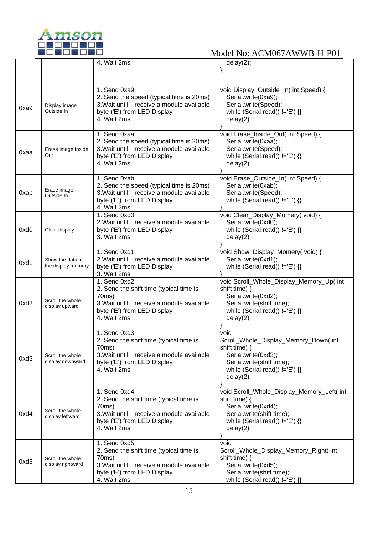

|            |                                        | 4. Wait 2ms                                                                                                                                                | delay(2);                                                                                                                                                              |
|------------|----------------------------------------|------------------------------------------------------------------------------------------------------------------------------------------------------------|------------------------------------------------------------------------------------------------------------------------------------------------------------------------|
|            |                                        |                                                                                                                                                            |                                                                                                                                                                        |
|            |                                        |                                                                                                                                                            |                                                                                                                                                                        |
| 0xa9       | Display image<br>Outside In            | 1. Send 0xa9<br>2. Send the speed (typical time is 20ms)<br>3. Wait until receive a module available<br>byte ('E') from LED Display<br>4. Wait 2ms         | void Display_Outside_In( int Speed) {<br>Serial.write(0xa9);<br>Serial.write(Speed);<br>while (Serial.read() $!=E'$ ) {}<br>delay(2);                                  |
| 0xaa       | Erase image Inside<br>Out              | 1. Send 0xaa<br>2. Send the speed (typical time is 20ms)<br>3. Wait until receive a module available<br>byte ('E') from LED Display<br>4. Wait 2ms         | void Erase_Inside_Out( int Speed) {<br>Serial.write(0xaa);<br>Serial.write(Speed);<br>while (Serial.read() $!=E'$ ) {}<br>delay(2);                                    |
| 0xab       | Erase image<br>Outside In              | 1. Send 0xab<br>2. Send the speed (typical time is 20ms)<br>3. Wait until receive a module available<br>byte ('E') from LED Display<br>4. Wait 2ms         | void Erase_Outside_In( int Speed) {<br>Serial.write(0xab);<br>Serial.write(Speed);<br>while (Serial.read() $!=E'$ ) {}                                                 |
| $0$ xd $0$ | Clear display                          | 1. Send 0xd0<br>2. Wait until receive a module available<br>byte ('E') from LED Display<br>3. Wait 2ms                                                     | void Clear_Display_Momery(void) {<br>Serial.write(0xd0);<br>while (Serial.read() $!=E'$ ) {}<br>delay(2);                                                              |
| 0xd1       | Show the data in<br>the display memory | 1. Send 0xd1<br>2. Wait until receive a module available<br>byte ('E') from LED Display<br>3. Wait 2ms                                                     | void Show_Display_Momery(void) {<br>Serial.write(0xd1);<br>while (Serial.read() $!=E'$ ) {}                                                                            |
| 0xd2       | Scroll the whole<br>display upward     | 1. Send 0xd2<br>2. Send the shift time (typical time is<br>70ms)<br>3. Wait until receive a module available<br>byte ('E') from LED Display<br>4. Wait 2ms | void Scroll_Whole_Display_Memory_Up( int<br>shift time) $\{$<br>Serial.write(0xd2);<br>Serial.write(shift time);<br>while (Serial.read() $!=E'$ ) {}<br>delay(2);      |
| 0xd3       | Scroll the whole<br>display downward   | 1. Send 0xd3<br>2. Send the shift time (typical time is<br>70ms)<br>3. Wait until receive a module available<br>byte ('E') from LED Display<br>4. Wait 2ms | void<br>Scroll_Whole_Display_Memory_Down(int<br>shift time) $\{$<br>Serial.write(0xd3);<br>Serial.write(shift time);<br>while (Serial.read() $!=$ 'E') {}<br>delay(2); |
| 0xd4       | Scroll the whole<br>display leftward   | 1. Send 0xd4<br>2. Send the shift time (typical time is<br>70ms)<br>3. Wait until receive a module available<br>byte ('E') from LED Display<br>4. Wait 2ms | void Scroll_Whole_Display_Memory_Left( int<br>shift time) {<br>Serial.write(0xd4);<br>Serial.write(shift time);<br>while (Serial.read() $!=$ 'E') {}<br>delay(2);      |
| 0xd5       | Scroll the whole<br>display rightward  | 1. Send 0xd5<br>2. Send the shift time (typical time is<br>70ms)<br>3. Wait until receive a module available<br>byte ('E') from LED Display<br>4. Wait 2ms | void<br>Scroll_Whole_Display_Memory_Right(int<br>shift time) {<br>Serial.write(0xd5);<br>Serial.write(shift time);<br>while (Serial.read() $!=$ 'E') {}                |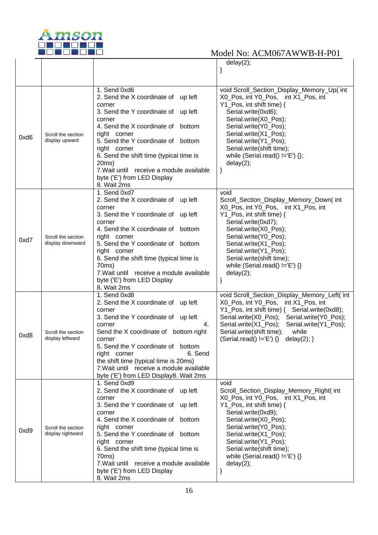

|      |                                         |                                                                                                                                                                                                                                                                                                                                                                                         | delay(2);                                                                                                                                                                                                                                                                                                                     |
|------|-----------------------------------------|-----------------------------------------------------------------------------------------------------------------------------------------------------------------------------------------------------------------------------------------------------------------------------------------------------------------------------------------------------------------------------------------|-------------------------------------------------------------------------------------------------------------------------------------------------------------------------------------------------------------------------------------------------------------------------------------------------------------------------------|
|      |                                         |                                                                                                                                                                                                                                                                                                                                                                                         |                                                                                                                                                                                                                                                                                                                               |
|      |                                         |                                                                                                                                                                                                                                                                                                                                                                                         |                                                                                                                                                                                                                                                                                                                               |
|      |                                         |                                                                                                                                                                                                                                                                                                                                                                                         |                                                                                                                                                                                                                                                                                                                               |
| 0xd6 | Scroll the section<br>display upward    | 1. Send 0xd6<br>2. Send the X coordinate of up left<br>corner<br>3. Send the Y coordinate of up left<br>corner<br>4. Send the X coordinate of bottom<br>right corner<br>5. Send the Y coordinate of bottom<br>right corner<br>6. Send the shift time (typical time is<br>20ms)<br>7. Wait until receive a module available                                                              | void Scroll_Section_Display_Memory_Up( int<br>X0 Pos, int Y0 Pos, int X1 Pos, int<br>Y1_Pos, int shift time) {<br>Serial.write(0xd6);<br>Serial.write(X0_Pos);<br>Serial.write(Y0_Pos);<br>Serial.write(X1_Pos);<br>Serial.write(Y1_Pos);<br>Serial.write(shift time);<br>while (Serial.read() $!=E'$ ) {};<br>delay(2);<br>} |
|      |                                         | byte ('E') from LED Display                                                                                                                                                                                                                                                                                                                                                             |                                                                                                                                                                                                                                                                                                                               |
| 0xd7 | Scroll the section<br>display downward  | 8. Wait 2ms<br>1. Send 0xd7<br>2. Send the X coordinate of up left<br>corner<br>3. Send the Y coordinate of up left<br>corner<br>4. Send the X coordinate of bottom<br>right corner<br>5. Send the Y coordinate of bottom<br>right corner<br>6. Send the shift time (typical time is<br>70ms)<br>7. Wait until receive a module available<br>byte ('E') from LED Display<br>8. Wait 2ms | void<br>Scroll_Section_Display_Memory_Down(int<br>X0 Pos, int Y0 Pos, int X1 Pos, int<br>Y1_Pos, int shift time) {<br>Serial.write(0xd7);<br>Serial.write(X0_Pos);<br>Serial.write(Y0_Pos);<br>Serial.write(X1_Pos);<br>Serial.write(Y1_Pos);<br>Serial.write(shift time);<br>while (Serial.read() $!=E$ ) {}<br>delay(2);    |
| 0xd8 | Scroll the section<br>display leftward  | 1. Send 0xd8<br>2. Send the X coordinate of up left<br>corner<br>3. Send the Y coordinate of up left<br>corner<br>4.<br>Send the X coordinate of bottom right<br>corner<br>5. Send the Y coordinate of bottom<br>6. Send<br>right corner<br>the shift time (typical time is 20ms)<br>7. Wait until receive a module available<br>byte ('E') from LED Display8. Wait 2ms                 | void Scroll_Section_Display_Memory_Left( int<br>X0_Pos, int Y0_Pos, int X1_Pos, int<br>Serial.write(X0_Pos);<br>Serial.write(Y0_Pos);<br>Serial.write(X1_Pos);<br>Serial.write(Y1_Pos);<br>while<br>Serial.write(shift time);<br>(Serial.read() !='E') $\{\}$<br>delay $(2)$ ; }                                              |
| 0xd9 | Scroll the section<br>display rightward | 1. Send $0xd9$<br>2. Send the X coordinate of up left<br>corner<br>3. Send the Y coordinate of up left<br>corner<br>4. Send the X coordinate of bottom<br>right corner<br>5. Send the Y coordinate of bottom<br>right corner<br>6. Send the shift time (typical time is<br>70ms)<br>7. Wait until receive a module available<br>byte ('E') from LED Display<br>8. Wait 2ms              | void<br>Scroll_Section_Display_Memory_Right(int<br>X0_Pos, int Y0_Pos, int X1_Pos, int<br>Y1 Pos, int shift time) {<br>Serial.write(0xd9);<br>Serial.write(X0_Pos);<br>Serial.write(Y0_Pos);<br>Serial.write(X1_Pos);<br>Serial.write(Y1_Pos);<br>Serial.write(shift time);<br>while (Serial.read() $!=$ 'E') {}<br>delay(2); |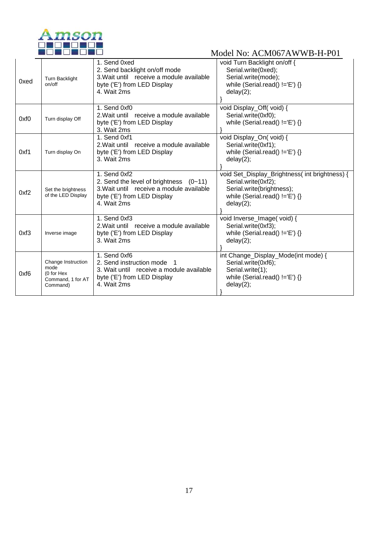

| 0xed | <b>Turn Backlight</b><br>on/off                                           | 1. Send 0xed<br>2. Send backlight on/off mode<br>3. Wait until receive a module available<br>byte ('E') from LED Display<br>4. Wait 2ms            | void Turn Backlight on/off {<br>Serial.write(0xed);<br>Serial.write(mode);<br>while (Serial.read() $!=E'$ ) {}<br>delay(2);                         |
|------|---------------------------------------------------------------------------|----------------------------------------------------------------------------------------------------------------------------------------------------|-----------------------------------------------------------------------------------------------------------------------------------------------------|
| 0xf0 | Turn display Off                                                          | 1. Send 0xf0<br>2. Wait until receive a module available<br>byte ('E') from LED Display<br>3. Wait 2ms                                             | void Display_Off(void) {<br>Serial.write(0xf0);<br>while (Serial.read() $!=E'$ ) {}                                                                 |
| 0xf1 | Turn display On                                                           | 1. Send 0xf1<br>2. Wait until receive a module available<br>byte ('E') from LED Display<br>3. Wait 2ms                                             | void Display_On(void) {<br>Serial.write(0xf1);<br>while (Serial.read() $!=E'$ ) {}<br>delay(2);                                                     |
| 0xf2 | Set the brightness<br>of the LED Display                                  | 1. Send 0xf2<br>2. Send the level of brightness $(0-11)$<br>3. Wait until receive a module available<br>byte ('E') from LED Display<br>4. Wait 2ms | void Set_Display_Brightness( int brightness) {<br>Serial.write(0xf2);<br>Serial.write(brightness);<br>while (Serial.read() $!=E'$ ) {}<br>delay(2); |
| 0xf3 | Inverse image                                                             | 1. Send 0xf3<br>2. Wait until receive a module available<br>byte ('E') from LED Display<br>3. Wait 2ms                                             | void Inverse_Image(void) {<br>Serial.write(0xf3);<br>while (Serial.read() $!=E'$ ) {}<br>delay(2);                                                  |
| 0xf6 | Change Instruction<br>mode<br>(0 for Hex<br>Command, 1 for AT<br>Command) | 1. Send 0xf6<br>2. Send instruction mode<br>3. Wait until receive a module available<br>byte ('E') from LED Display<br>4. Wait 2ms                 | int Change_Display_Mode(int mode) {<br>Serial.write(0xf6);<br>Serial.write(1);<br>while (Serial.read() $!=$ 'E') {}<br>delay(2);                    |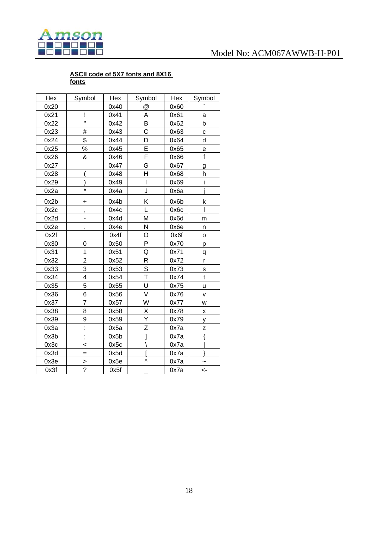

### **ASCII code of 5X7 fonts and 8X16 fonts**

| Hex  | Symbol         | Hex  | Symbol                  | Hex  | Symbol         |
|------|----------------|------|-------------------------|------|----------------|
| 0x20 |                | 0x40 | $^{\textregistered}$    | 0x60 |                |
| 0x21 | Ţ              | 0x41 | A                       | 0x61 | a              |
| 0x22 | Ħ              | 0x42 | B                       | 0x62 | þ              |
| 0x23 | #              | 0x43 | C                       | 0x63 | C              |
| 0x24 | \$             | 0x44 | D                       | 0x64 | d              |
| 0x25 | $\%$           | 0x45 | Ė                       | 0x65 | е              |
| 0x26 | &              | 0x46 | F                       | 0x66 | $\mathsf{f}$   |
| 0x27 |                | 0x47 | G                       | 0x67 | g              |
| 0x28 |                | 0x48 | H                       | 0x68 | h              |
| 0x29 |                | 0x49 | I                       | 0x69 | i              |
| 0x2a | $\star$        | 0x4a | J                       | 0x6a |                |
| 0x2b | +              | 0x4b | Κ                       | 0x6b | k              |
| 0x2c | ,              | 0x4c | Ĺ                       | 0x6c | Ī              |
| 0x2d | -              | 0x4d | M                       | 0x6d | m              |
| 0x2e |                | 0x4e | N                       | 0x6e | n              |
| 0x2f |                | 0x4f | O                       | 0x6f | o              |
| 0x30 | 0              | 0x50 | P                       | 0x70 | р              |
| 0x31 | $\overline{1}$ | 0x51 | Q                       | 0x71 | q              |
| 0x32 | $\overline{2}$ | 0x52 | R                       | 0x72 | $\mathsf{r}$   |
| 0x33 | 3              | 0x53 | $\overline{s}$          | 0x73 | S              |
| 0x34 | 4              | 0x54 | T                       | 0x74 | $\mathfrak{t}$ |
| 0x35 | 5              | 0x55 | Ù                       | 0x75 | u              |
| 0x36 | 6              | 0x56 | V                       | 0x76 | v              |
| 0x37 | $\overline{7}$ | 0x57 | W                       | 0x77 | W              |
| 0x38 | 8              | 0x58 | Χ                       | 0x78 | Χ              |
| 0x39 | 9              | 0x59 | $\overline{\mathsf{Y}}$ | 0x79 | у              |
| 0x3a | $\vdots$       | 0x5a | Z                       | 0x7a | Z              |
| 0x3b | $\vdots$       | 0x5b | ı                       | 0x7a | ł              |
| 0x3c | <              | 0x5c | $\backslash$            | 0x7a |                |
| 0x3d | $=$            | 0x5d |                         | 0x7a |                |
| 0x3e | $\geq$         | 0x5e | Λ                       | 0x7a |                |
| 0x3f | $\overline{?}$ | 0x5f |                         | 0x7a | <-             |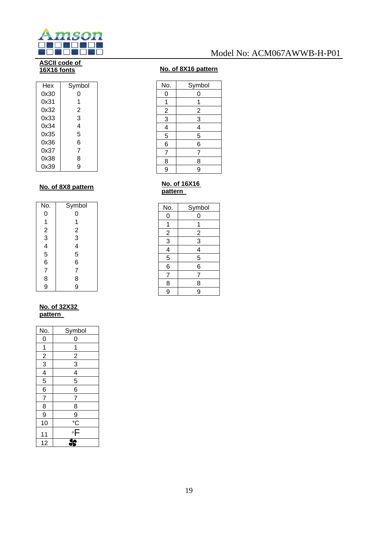

### **ASCII code of 16X16 fonts**

| Hex  | Symbol |
|------|--------|
| 0x30 | 0      |
| 0x31 | 1      |
| 0x32 | 2      |
| 0x33 | 3      |
| 0x34 | 4      |
| 0x35 | 5      |
| 0x36 | 6      |
| 0x37 | 7      |
| 0x38 | 8      |
| 0x39 | g      |

### **No. of 8X8 pattern**

| No.            | Symbol                                     |
|----------------|--------------------------------------------|
| 0              | 0                                          |
|                | 1                                          |
|                | $\overline{c}$                             |
|                | $\begin{array}{c} 3 \\ 4 \\ 5 \end{array}$ |
|                |                                            |
| 123456         |                                            |
|                | 6                                          |
| $\overline{7}$ | $\overline{7}$                             |
| 8              | 8                                          |
| 9              | 9                                          |

### **No. of 32X32 pattern**

| No.                         | Symbol                             |
|-----------------------------|------------------------------------|
| $\overline{0}$              | 0                                  |
| $\overline{1}$              | 1                                  |
|                             |                                    |
| $\frac{2}{3}$ $\frac{4}{5}$ | $\frac{2}{3}$ $\frac{4}{5}$        |
|                             |                                    |
|                             |                                    |
| $\frac{6}{7}$               | $\overline{6}$                     |
|                             | $\overline{7}$                     |
| <u>8</u>                    | 8                                  |
| 9                           |                                    |
| 10                          | $rac{9}{c}$                        |
| 11                          | $\overline{\overline{\mathsf{F}}}$ |
| 12                          |                                    |

## Model No: ACM067AWWB-H-P01

### **No. of 8X16 pattern**

| No.            | Symbol        |
|----------------|---------------|
| 0              | 0             |
| 1              | 1             |
|                |               |
| $\frac{2}{3}$  | $\frac{2}{3}$ |
| $\overline{4}$ | 4             |
| $\overline{5}$ | 5             |
| 6              | 6             |
| $\overline{7}$ | 7             |
| 8              | 8             |
| 9              | 9             |
|                |               |

### **No. of 16X16 pattern**

| No.            | Symbol         |
|----------------|----------------|
| 0              | 0              |
| 1              | 1              |
|                | $\overline{2}$ |
| $\frac{2}{3}$  | $\overline{3}$ |
|                | $\frac{4}{5}$  |
| $\frac{4}{5}$  |                |
| 6              | 6              |
| $\overline{7}$ | 7              |
| 8              | 8              |
| $\overline{9}$ | 9              |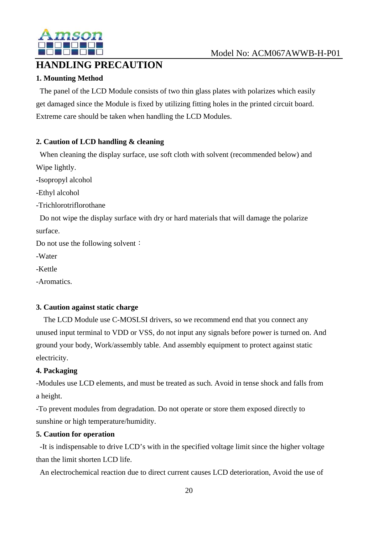

## **HANDLING PRECAUTION**

### **1. Mounting Method**

The panel of the LCD Module consists of two thin glass plates with polarizes which easily get damaged since the Module is fixed by utilizing fitting holes in the printed circuit board. Extreme care should be taken when handling the LCD Modules.

### **2. Caution of LCD handling & cleaning**

When cleaning the display surface, use soft cloth with solvent (recommended below) and Wipe lightly.

-Isopropyl alcohol

-Ethyl alcohol

-Trichlorotriflorothane

Do not wipe the display surface with dry or hard materials that will damage the polarize surface.

Do not use the following solvent:

-Water

-Kettle

-Aromatics.

### **3. Caution against static charge**

The LCD Module use C-MOSLSI drivers, so we recommend end that you connect any unused input terminal to VDD or VSS, do not input any signals before power is turned on. And ground your body, Work/assembly table. And assembly equipment to protect against static electricity.

### **4. Packaging**

-Modules use LCD elements, and must be treated as such. Avoid in tense shock and falls from a height.

-To prevent modules from degradation. Do not operate or store them exposed directly to sunshine or high temperature/humidity.

### **5. Caution for operation**

-It is indispensable to drive LCD's with in the specified voltage limit since the higher voltage than the limit shorten LCD life.

An electrochemical reaction due to direct current causes LCD deterioration, Avoid the use of